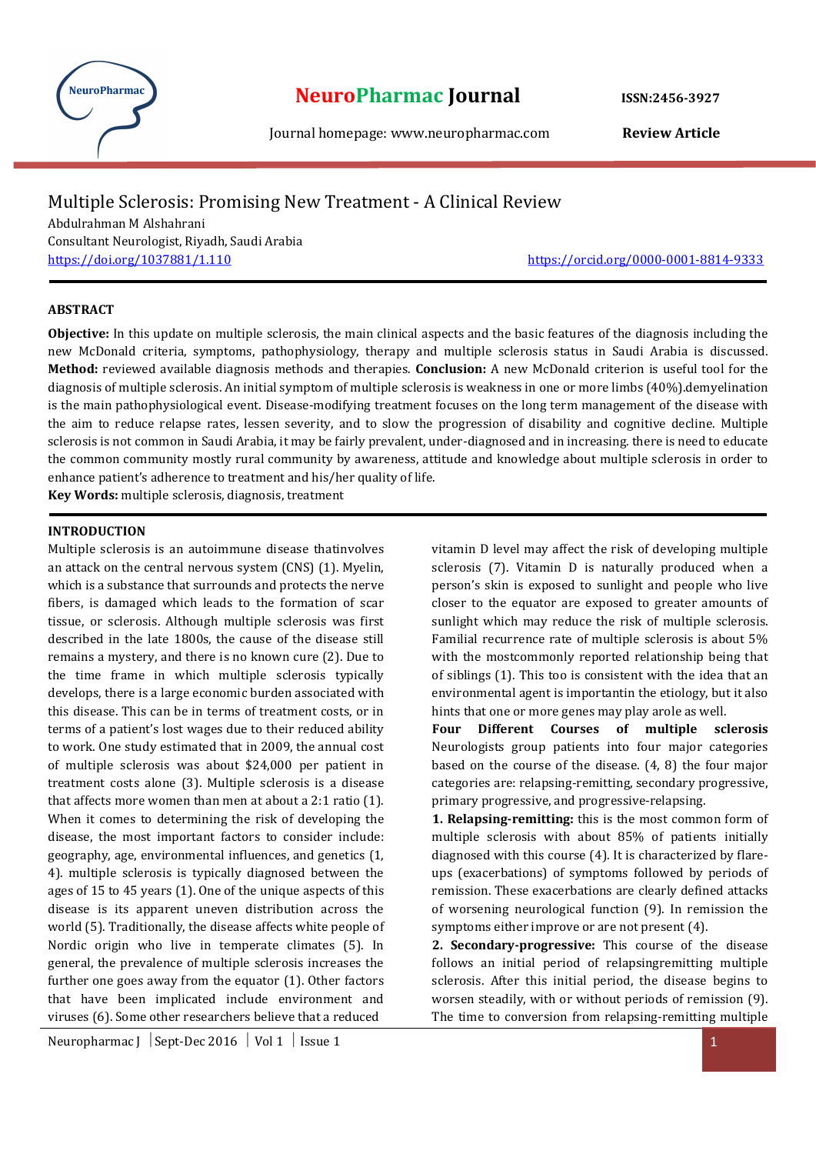

# NeuroPharmac **NeuroPharmac Journal** ISSN:2456-3927

Journal homepage: www.neuropharmac.com Review Article

## Multiple Sclerosis: Promising New Treatment - A Clinical Review

Abdulrahman M Alshahrani Consultant Neurologist, Riyadh, Saudi Arabia https://doi.org/1037881/1.110 https://orcid.org/0000-0001-8814-9333

#### ABSTRACT

Objective: In this update on multiple sclerosis, the main clinical aspects and the basic features of the diagnosis including the new McDonald criteria, symptoms, pathophysiology, therapy and multiple sclerosis status in Saudi Arabia is discussed. Method: reviewed available diagnosis methods and therapies. Conclusion: A new McDonald criterion is useful tool for the diagnosis of multiple sclerosis. An initial symptom of multiple sclerosis is weakness in one or more limbs (40%).demyelination is the main pathophysiological event. Disease-modifying treatment focuses on the long term management of the disease with the aim to reduce relapse rates, lessen severity, and to slow the progression of disability and cognitive decline. Multiple sclerosis is not common in Saudi Arabia, it may be fairly prevalent, under-diagnosed and in increasing. there is need to educate the common community mostly rural community by awareness, attitude and knowledge about multiple sclerosis in order to enhance patient's adherence to treatment and his/her quality of life.

Key Words: multiple sclerosis, diagnosis, treatment

#### INTRODUCTION

Multiple sclerosis is an autoimmune disease thatinvolves an attack on the central nervous system (CNS) (1). Myelin, which is a substance that surrounds and protects the nerve fibers, is damaged which leads to the formation of scar tissue, or sclerosis. Although multiple sclerosis was first described in the late 1800s, the cause of the disease still remains a mystery, and there is no known cure (2). Due to the time frame in which multiple sclerosis typically develops, there is a large economic burden associated with this disease. This can be in terms of treatment costs, or in terms of a patient's lost wages due to their reduced ability to work. One study estimated that in 2009, the annual cost of multiple sclerosis was about \$24,000 per patient in treatment costs alone (3). Multiple sclerosis is a disease that affects more women than men at about a 2:1 ratio (1). When it comes to determining the risk of developing the disease, the most important factors to consider include: geography, age, environmental influences, and genetics (1, 4). multiple sclerosis is typically diagnosed between the ages of 15 to 45 years (1). One of the unique aspects of this disease is its apparent uneven distribution across the world (5). Traditionally, the disease affects white people of Nordic origin who live in temperate climates (5). In general, the prevalence of multiple sclerosis increases the further one goes away from the equator (1). Other factors that have been implicated include environment and viruses (6). Some other researchers believe that a reduced

vitamin D level may affect the risk of developing multiple sclerosis (7). Vitamin D is naturally produced when a person's skin is exposed to sunlight and people who live closer to the equator are exposed to greater amounts of sunlight which may reduce the risk of multiple sclerosis. Familial recurrence rate of multiple sclerosis is about 5% with the mostcommonly reported relationship being that of siblings (1). This too is consistent with the idea that an environmental agent is importantin the etiology, but it also hints that one or more genes may play arole as well.

Four Different Courses of multiple sclerosis Neurologists group patients into four major categories based on the course of the disease. (4, 8) the four major categories are: relapsing-remitting, secondary progressive, primary progressive, and progressive-relapsing.

1. Relapsing-remitting: this is the most common form of multiple sclerosis with about 85% of patients initially diagnosed with this course (4). It is characterized by flareups (exacerbations) of symptoms followed by periods of remission. These exacerbations are clearly defined attacks of worsening neurological function (9). In remission the symptoms either improve or are not present (4).

2. Secondary-progressive: This course of the disease follows an initial period of relapsingremitting multiple sclerosis. After this initial period, the disease begins to worsen steadily, with or without periods of remission (9). The time to conversion from relapsing-remitting multiple

Neuropharmac J  $\left| \text{Sept-Dec 2016 } \right|$  Vol 1  $\left| \text{ Issue 1 } \right|$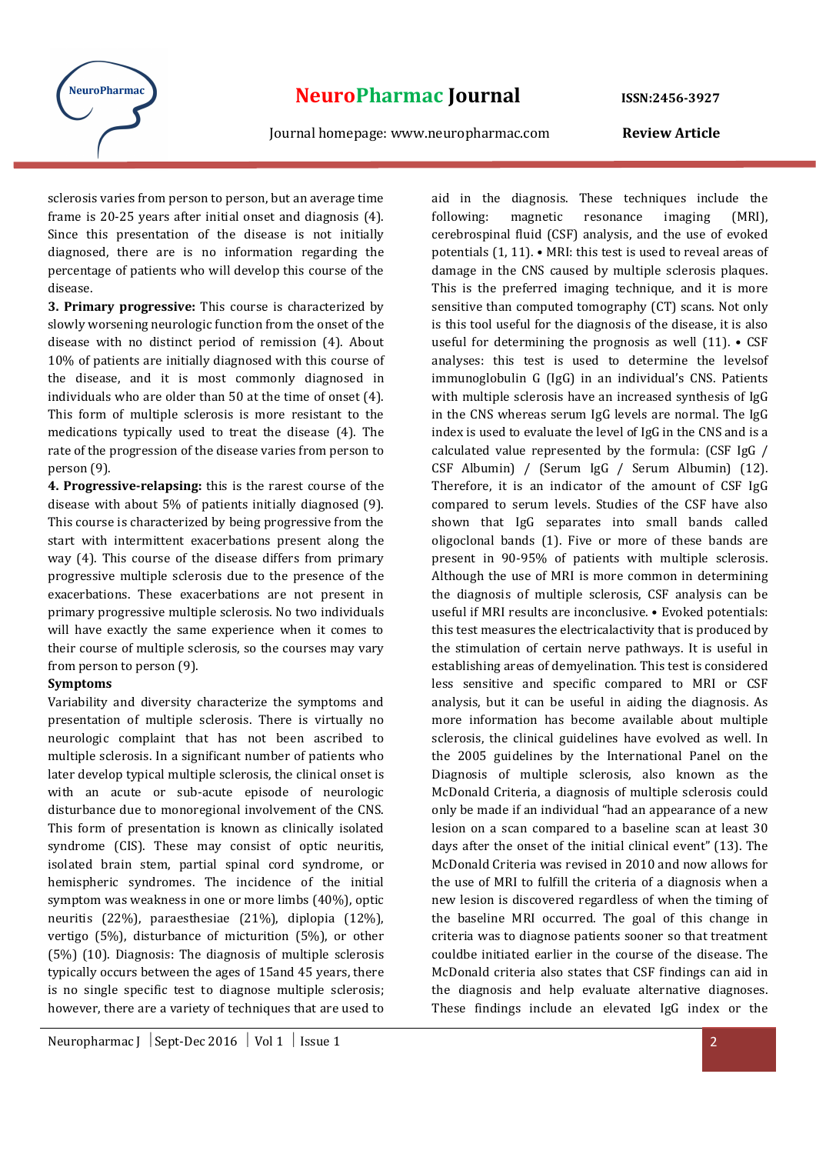

aid in the diagnosis. These techniques include the

sclerosis varies from person to person, but an average time frame is 20-25 years after initial onset and diagnosis (4). Since this presentation of the disease is not initially diagnosed, there are is no information regarding the percentage of patients who will develop this course of the disease.

3. Primary progressive: This course is characterized by slowly worsening neurologic function from the onset of the disease with no distinct period of remission (4). About 10% of patients are initially diagnosed with this course of the disease, and it is most commonly diagnosed in individuals who are older than 50 at the time of onset (4). This form of multiple sclerosis is more resistant to the medications typically used to treat the disease (4). The rate of the progression of the disease varies from person to person (9).

4. Progressive-relapsing: this is the rarest course of the disease with about 5% of patients initially diagnosed (9). This course is characterized by being progressive from the start with intermittent exacerbations present along the way (4). This course of the disease differs from primary progressive multiple sclerosis due to the presence of the exacerbations. These exacerbations are not present in primary progressive multiple sclerosis. No two individuals will have exactly the same experience when it comes to their course of multiple sclerosis, so the courses may vary from person to person (9).

#### Symptoms

Variability and diversity characterize the symptoms and presentation of multiple sclerosis. There is virtually no neurologic complaint that has not been ascribed to multiple sclerosis. In a significant number of patients who later develop typical multiple sclerosis, the clinical onset is with an acute or sub-acute episode of neurologic disturbance due to monoregional involvement of the CNS. This form of presentation is known as clinically isolated syndrome (CIS). These may consist of optic neuritis, isolated brain stem, partial spinal cord syndrome, or hemispheric syndromes. The incidence of the initial symptom was weakness in one or more limbs (40%), optic neuritis (22%), paraesthesiae (21%), diplopia (12%), vertigo (5%), disturbance of micturition (5%), or other (5%) (10). Diagnosis: The diagnosis of multiple sclerosis typically occurs between the ages of 15and 45 years, there is no single specific test to diagnose multiple sclerosis; however, there are a variety of techniques that are used to

following: magnetic resonance imaging (MRI), cerebrospinal fluid (CSF) analysis, and the use of evoked potentials (1, 11). • MRI: this test is used to reveal areas of damage in the CNS caused by multiple sclerosis plaques. This is the preferred imaging technique, and it is more sensitive than computed tomography (CT) scans. Not only is this tool useful for the diagnosis of the disease, it is also useful for determining the prognosis as well  $(11)$ . • CSF analyses: this test is used to determine the levelsof immunoglobulin G (IgG) in an individual's CNS. Patients with multiple sclerosis have an increased synthesis of IgG in the CNS whereas serum IgG levels are normal. The IgG index is used to evaluate the level of IgG in the CNS and is a calculated value represented by the formula: (CSF IgG / CSF Albumin) / (Serum IgG / Serum Albumin) (12). Therefore, it is an indicator of the amount of CSF IgG compared to serum levels. Studies of the CSF have also shown that IgG separates into small bands called oligoclonal bands (1). Five or more of these bands are present in 90-95% of patients with multiple sclerosis. Although the use of MRI is more common in determining the diagnosis of multiple sclerosis, CSF analysis can be useful if MRI results are inconclusive. • Evoked potentials: this test measures the electricalactivity that is produced by the stimulation of certain nerve pathways. It is useful in establishing areas of demyelination. This test is considered less sensitive and specific compared to MRI or CSF analysis, but it can be useful in aiding the diagnosis. As more information has become available about multiple sclerosis, the clinical guidelines have evolved as well. In the 2005 guidelines by the International Panel on the Diagnosis of multiple sclerosis, also known as the McDonald Criteria, a diagnosis of multiple sclerosis could only be made if an individual "had an appearance of a new lesion on a scan compared to a baseline scan at least 30 days after the onset of the initial clinical event" (13). The McDonald Criteria was revised in 2010 and now allows for the use of MRI to fulfill the criteria of a diagnosis when a new lesion is discovered regardless of when the timing of the baseline MRI occurred. The goal of this change in criteria was to diagnose patients sooner so that treatment couldbe initiated earlier in the course of the disease. The McDonald criteria also states that CSF findings can aid in the diagnosis and help evaluate alternative diagnoses. These findings include an elevated IgG index or the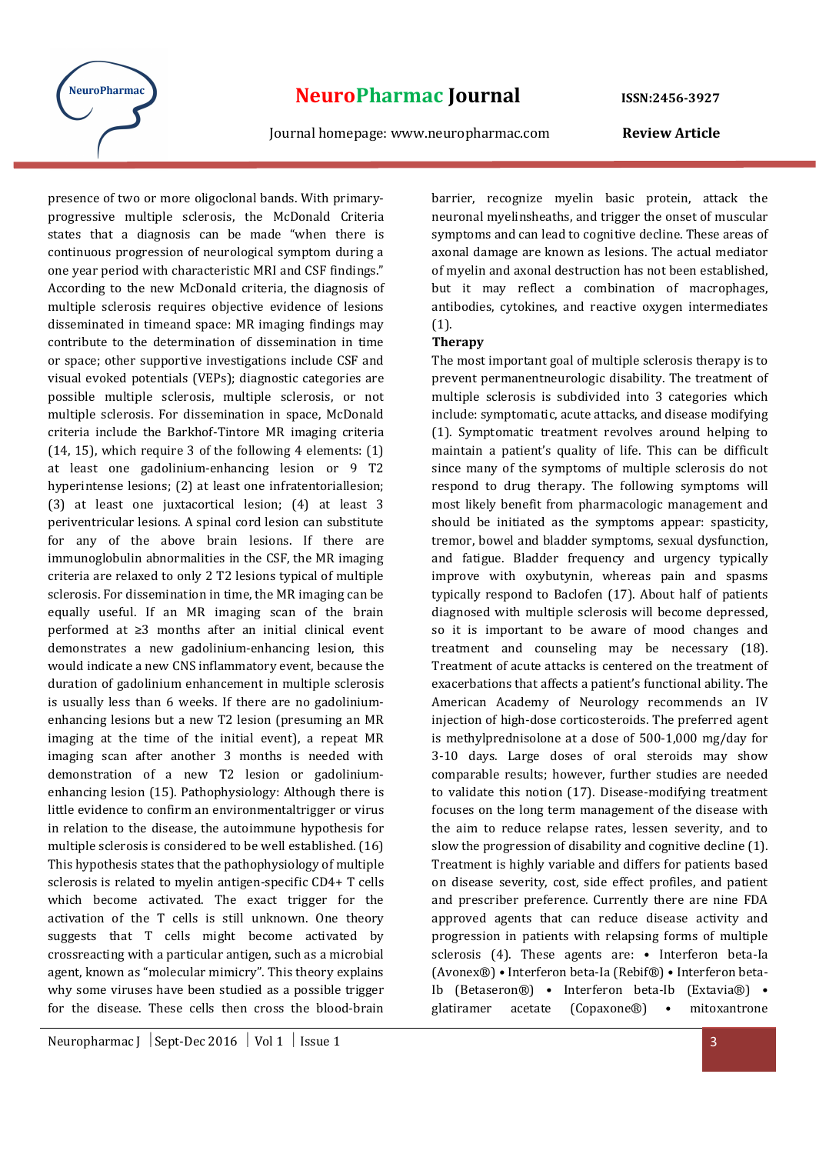

presence of two or more oligoclonal bands. With primaryprogressive multiple sclerosis, the McDonald Criteria states that a diagnosis can be made "when there is continuous progression of neurological symptom during a one year period with characteristic MRI and CSF findings." According to the new McDonald criteria, the diagnosis of multiple sclerosis requires objective evidence of lesions disseminated in timeand space: MR imaging findings may contribute to the determination of dissemination in time or space; other supportive investigations include CSF and visual evoked potentials (VEPs); diagnostic categories are possible multiple sclerosis, multiple sclerosis, or not multiple sclerosis. For dissemination in space, McDonald criteria include the Barkhof-Tintore MR imaging criteria (14, 15), which require 3 of the following 4 elements: (1) at least one gadolinium-enhancing lesion or 9 T2 hyperintense lesions; (2) at least one infratentoriallesion; (3) at least one juxtacortical lesion; (4) at least 3 periventricular lesions. A spinal cord lesion can substitute for any of the above brain lesions. If there are immunoglobulin abnormalities in the CSF, the MR imaging criteria are relaxed to only 2 T2 lesions typical of multiple sclerosis. For dissemination in time, the MR imaging can be equally useful. If an MR imaging scan of the brain performed at ≥3 months after an initial clinical event demonstrates a new gadolinium-enhancing lesion, this would indicate a new CNS inflammatory event, because the duration of gadolinium enhancement in multiple sclerosis is usually less than 6 weeks. If there are no gadoliniumenhancing lesions but a new T2 lesion (presuming an MR imaging at the time of the initial event), a repeat MR imaging scan after another 3 months is needed with demonstration of a new T2 lesion or gadoliniumenhancing lesion (15). Pathophysiology: Although there is little evidence to confirm an environmentaltrigger or virus in relation to the disease, the autoimmune hypothesis for multiple sclerosis is considered to be well established. (16) This hypothesis states that the pathophysiology of multiple sclerosis is related to myelin antigen-specific CD4+ T cells which become activated. The exact trigger for the activation of the T cells is still unknown. One theory suggests that T cells might become activated by crossreacting with a particular antigen, such as a microbial agent, known as "molecular mimicry". This theory explains why some viruses have been studied as a possible trigger for the disease. These cells then cross the blood-brain

barrier, recognize myelin basic protein, attack the neuronal myelinsheaths, and trigger the onset of muscular symptoms and can lead to cognitive decline. These areas of axonal damage are known as lesions. The actual mediator of myelin and axonal destruction has not been established, but it may reflect a combination of macrophages, antibodies, cytokines, and reactive oxygen intermediates (1).

#### Therapy

The most important goal of multiple sclerosis therapy is to prevent permanentneurologic disability. The treatment of multiple sclerosis is subdivided into 3 categories which include: symptomatic, acute attacks, and disease modifying (1). Symptomatic treatment revolves around helping to maintain a patient's quality of life. This can be difficult since many of the symptoms of multiple sclerosis do not respond to drug therapy. The following symptoms will most likely benefit from pharmacologic management and should be initiated as the symptoms appear: spasticity, tremor, bowel and bladder symptoms, sexual dysfunction, and fatigue. Bladder frequency and urgency typically improve with oxybutynin, whereas pain and spasms typically respond to Baclofen (17). About half of patients diagnosed with multiple sclerosis will become depressed, so it is important to be aware of mood changes and treatment and counseling may be necessary (18). Treatment of acute attacks is centered on the treatment of exacerbations that affects a patient's functional ability. The American Academy of Neurology recommends an IV injection of high-dose corticosteroids. The preferred agent is methylprednisolone at a dose of 500-1,000 mg/day for 3-10 days. Large doses of oral steroids may show comparable results; however, further studies are needed to validate this notion (17). Disease-modifying treatment focuses on the long term management of the disease with the aim to reduce relapse rates, lessen severity, and to slow the progression of disability and cognitive decline (1). Treatment is highly variable and differs for patients based on disease severity, cost, side effect profiles, and patient and prescriber preference. Currently there are nine FDA approved agents that can reduce disease activity and progression in patients with relapsing forms of multiple sclerosis (4). These agents are: • Interferon beta-Ia (Avonex®) • Interferon beta-Ia (Rebif®) • Interferon beta-Ib (Betaseron®) • Interferon beta-Ib (Extavia®) • glatiramer acetate (Copaxone®) • mitoxantrone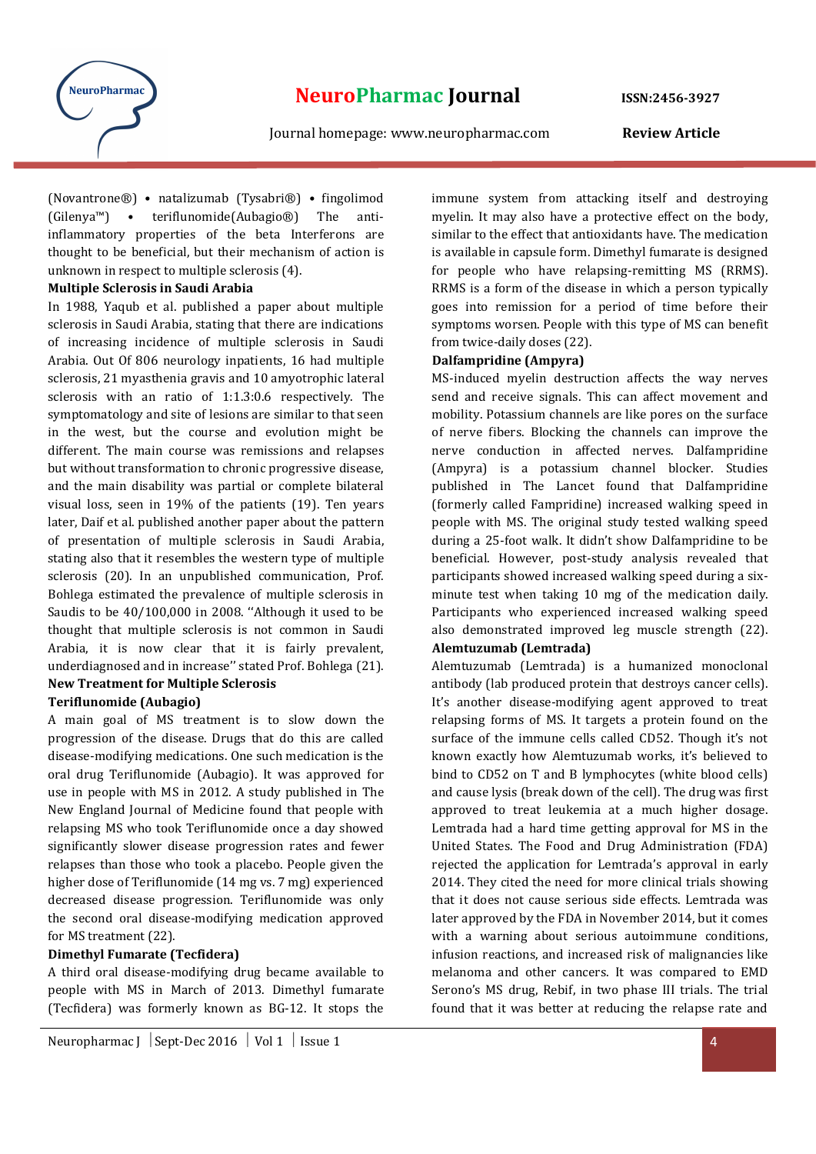

(Novantrone®) • natalizumab (Tysabri®) • fingolimod (Gilenya™) • teriflunomide(Aubagio®) The antiinflammatory properties of the beta Interferons are thought to be beneficial, but their mechanism of action is unknown in respect to multiple sclerosis (4).

#### Multiple Sclerosis in Saudi Arabia

In 1988, Yaqub et al. published a paper about multiple sclerosis in Saudi Arabia, stating that there are indications of increasing incidence of multiple sclerosis in Saudi Arabia. Out Of 806 neurology inpatients, 16 had multiple sclerosis, 21 myasthenia gravis and 10 amyotrophic lateral sclerosis with an ratio of 1:1.3:0.6 respectively. The symptomatology and site of lesions are similar to that seen in the west, but the course and evolution might be different. The main course was remissions and relapses but without transformation to chronic progressive disease, and the main disability was partial or complete bilateral visual loss, seen in 19% of the patients (19). Ten years later, Daif et al. published another paper about the pattern of presentation of multiple sclerosis in Saudi Arabia, stating also that it resembles the western type of multiple sclerosis (20). In an unpublished communication, Prof. Bohlega estimated the prevalence of multiple sclerosis in Saudis to be 40/100,000 in 2008. ''Although it used to be thought that multiple sclerosis is not common in Saudi Arabia, it is now clear that it is fairly prevalent, underdiagnosed and in increase'' stated Prof. Bohlega (21). New Treatment for Multiple Sclerosis

#### Teriflunomide (Aubagio)

A main goal of MS treatment is to slow down the progression of the disease. Drugs that do this are called disease-modifying medications. One such medication is the oral drug Teriflunomide (Aubagio). It was approved for use in people with MS in 2012. A study published in The New England Journal of Medicine found that people with relapsing MS who took Teriflunomide once a day showed significantly slower disease progression rates and fewer relapses than those who took a placebo. People given the higher dose of Teriflunomide (14 mg vs. 7 mg) experienced decreased disease progression. Teriflunomide was only the second oral disease-modifying medication approved for MS treatment (22).

#### Dimethyl Fumarate (Tecfidera)

A third oral disease-modifying drug became available to people with MS in March of 2013. Dimethyl fumarate (Tecfidera) was formerly known as BG-12. It stops the

immune system from attacking itself and destroying myelin. It may also have a protective effect on the body, similar to the effect that antioxidants have. The medication is available in capsule form. Dimethyl fumarate is designed for people who have relapsing-remitting MS (RRMS). RRMS is a form of the disease in which a person typically goes into remission for a period of time before their symptoms worsen. People with this type of MS can benefit from twice-daily doses (22).

#### Dalfampridine (Ampyra)

MS-induced myelin destruction affects the way nerves send and receive signals. This can affect movement and mobility. Potassium channels are like pores on the surface of nerve fibers. Blocking the channels can improve the nerve conduction in affected nerves. Dalfampridine (Ampyra) is a potassium channel blocker. Studies published in The Lancet found that Dalfampridine (formerly called Fampridine) increased walking speed in people with MS. The original study tested walking speed during a 25-foot walk. It didn't show Dalfampridine to be beneficial. However, post-study analysis revealed that participants showed increased walking speed during a sixminute test when taking 10 mg of the medication daily. Participants who experienced increased walking speed also demonstrated improved leg muscle strength (22). Alemtuzumab (Lemtrada)

Alemtuzumab (Lemtrada) is a humanized monoclonal antibody (lab produced protein that destroys cancer cells). It's another disease-modifying agent approved to treat relapsing forms of MS. It targets a protein found on the surface of the immune cells called CD52. Though it's not known exactly how Alemtuzumab works, it's believed to bind to CD52 on T and B lymphocytes (white blood cells) and cause lysis (break down of the cell). The drug was first approved to treat leukemia at a much higher dosage. Lemtrada had a hard time getting approval for MS in the United States. The Food and Drug Administration (FDA) rejected the application for Lemtrada's approval in early 2014. They cited the need for more clinical trials showing that it does not cause serious side effects. Lemtrada was later approved by the FDA in November 2014, but it comes with a warning about serious autoimmune conditions, infusion reactions, and increased risk of malignancies like melanoma and other cancers. It was compared to EMD Serono's MS drug, Rebif, in two phase III trials. The trial found that it was better at reducing the relapse rate and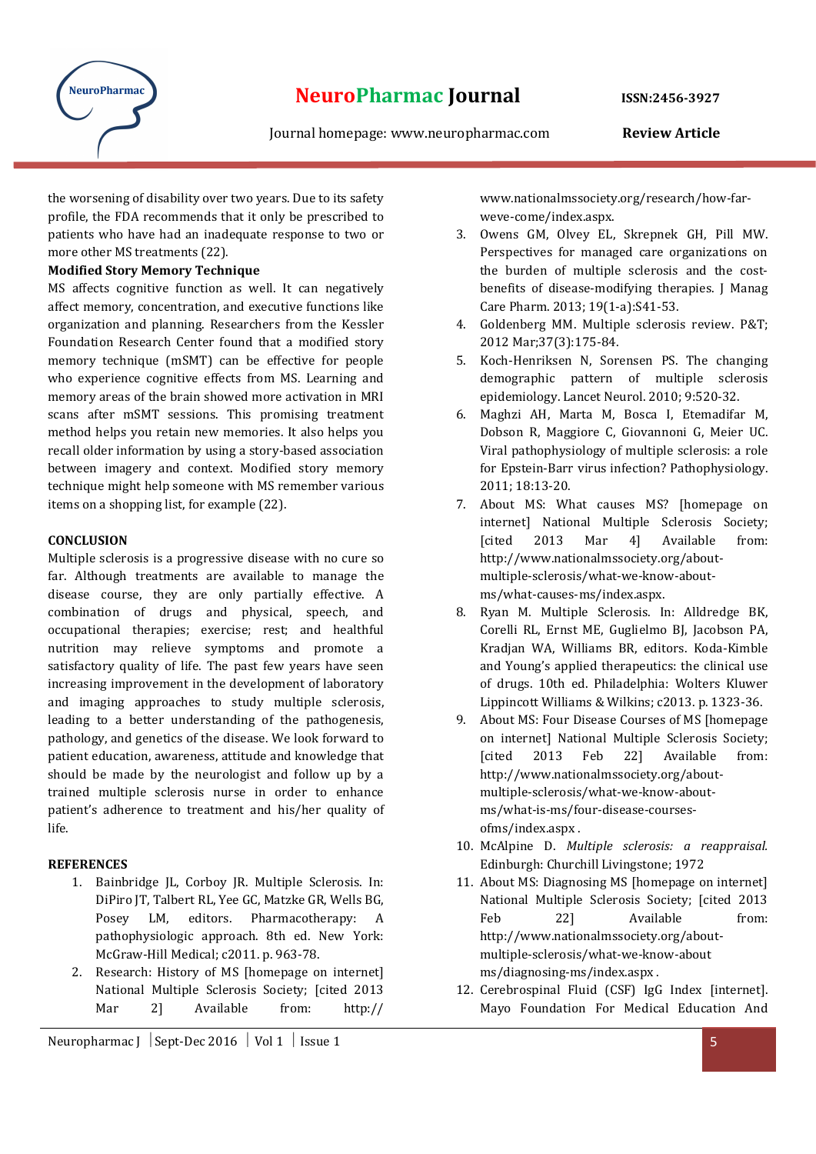

the worsening of disability over two years. Due to its safety profile, the FDA recommends that it only be prescribed to patients who have had an inadequate response to two or more other MS treatments (22).

#### Modified Story Memory Technique

MS affects cognitive function as well. It can negatively affect memory, concentration, and executive functions like organization and planning. Researchers from the Kessler Foundation Research Center found that a modified story memory technique (mSMT) can be effective for people who experience cognitive effects from MS. Learning and memory areas of the brain showed more activation in MRI scans after mSMT sessions. This promising treatment method helps you retain new memories. It also helps you recall older information by using a story-based association between imagery and context. Modified story memory technique might help someone with MS remember various items on a shopping list, for example (22).

#### **CONCLUSION**

Multiple sclerosis is a progressive disease with no cure so far. Although treatments are available to manage the disease course, they are only partially effective. A combination of drugs and physical, speech, and occupational therapies; exercise; rest; and healthful nutrition may relieve symptoms and promote a satisfactory quality of life. The past few years have seen increasing improvement in the development of laboratory and imaging approaches to study multiple sclerosis, leading to a better understanding of the pathogenesis, pathology, and genetics of the disease. We look forward to patient education, awareness, attitude and knowledge that should be made by the neurologist and follow up by a trained multiple sclerosis nurse in order to enhance patient's adherence to treatment and his/her quality of life.

### **REFERENCES**

- 1. Bainbridge JL, Corboy JR. Multiple Sclerosis. In: DiPiro JT, Talbert RL, Yee GC, Matzke GR, Wells BG, Posey LM, editors. Pharmacotherapy: A pathophysiologic approach. 8th ed. New York: McGraw-Hill Medical; c2011. p. 963-78.
- 2. Research: History of MS [homepage on internet] National Multiple Sclerosis Society; [cited 2013 Mar 2] Available from: http://

Neuropharmac J  $\left|$  Sept-Dec 2016  $\left|$  Vol 1  $\right|$  Issue 1

www.nationalmssociety.org/research/how-farweve-come/index.aspx.

- 3. Owens GM, Olvey EL, Skrepnek GH, Pill MW. Perspectives for managed care organizations on the burden of multiple sclerosis and the costbenefits of disease-modifying therapies. J Manag Care Pharm. 2013; 19(1-a):S41-53.
- 4. Goldenberg MM. Multiple sclerosis review. P&T; 2012 Mar;37(3):175-84.
- 5. Koch-Henriksen N, Sorensen PS. The changing demographic pattern of multiple sclerosis epidemiology. Lancet Neurol. 2010; 9:520-32.
- 6. Maghzi AH, Marta M, Bosca I, Etemadifar M, Dobson R, Maggiore C, Giovannoni G, Meier UC. Viral pathophysiology of multiple sclerosis: a role for Epstein-Barr virus infection? Pathophysiology. 2011; 18:13-20.
- 7. About MS: What causes MS? [homepage on internet] National Multiple Sclerosis Society; [cited 2013 Mar 4] Available from: http://www.nationalmssociety.org/aboutmultiple-sclerosis/what-we-know-aboutms/what-causes-ms/index.aspx.
- 8. Ryan M. Multiple Sclerosis. In: Alldredge BK, Corelli RL, Ernst ME, Guglielmo BJ, Jacobson PA, Kradjan WA, Williams BR, editors. Koda-Kimble and Young's applied therapeutics: the clinical use of drugs. 10th ed. Philadelphia: Wolters Kluwer Lippincott Williams & Wilkins; c2013. p. 1323-36.
- 9. About MS: Four Disease Courses of MS [homepage on internet] National Multiple Sclerosis Society; [cited 2013 Feb 22] Available from: http://www.nationalmssociety.org/aboutmultiple-sclerosis/what-we-know-aboutms/what-is-ms/four-disease-coursesofms/index.aspx .
- 10. McAlpine D. Multiple sclerosis: a reappraisal. Edinburgh: Churchill Livingstone; 1972
- 11. About MS: Diagnosing MS [homepage on internet] National Multiple Sclerosis Society; [cited 2013 Feb 22] Available from: http://www.nationalmssociety.org/aboutmultiple-sclerosis/what-we-know-about ms/diagnosing-ms/index.aspx .
- 12. Cerebrospinal Fluid (CSF) IgG Index [internet]. Mayo Foundation For Medical Education And